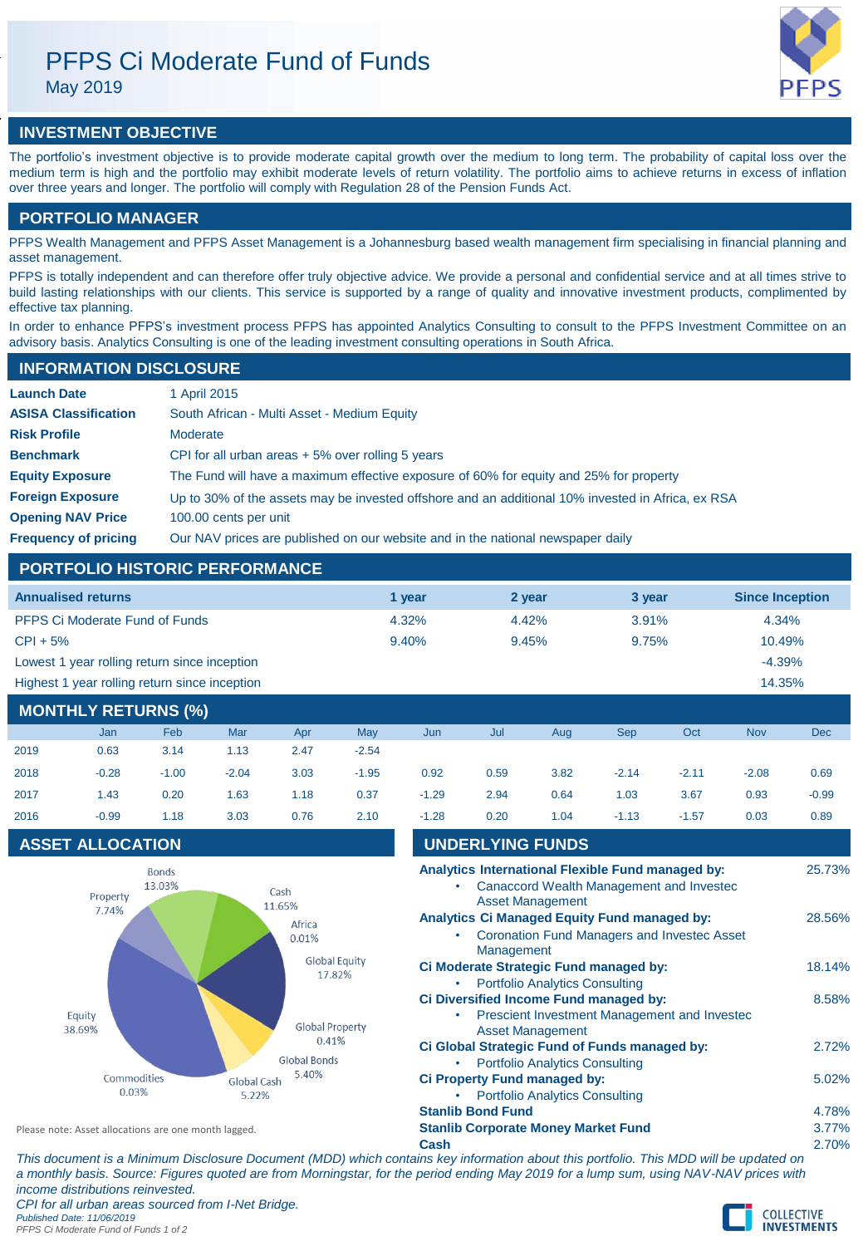# PFPS Ci Moderate Fund of Funds

May 2019



## **INVESTMENT OBJECTIVE**

The portfolio's investment objective is to provide moderate capital growth over the medium to long term. The probability of capital loss over the medium term is high and the portfolio may exhibit moderate levels of return volatility. The portfolio aims to achieve returns in excess of inflation over three years and longer. The portfolio will comply with Regulation 28 of the Pension Funds Act.

## **PORTFOLIO MANAGER**

PFPS Wealth Management and PFPS Asset Management is a Johannesburg based wealth management firm specialising in financial planning and asset management.

PFPS is totally independent and can therefore offer truly objective advice. We provide a personal and confidential service and at all times strive to build lasting relationships with our clients. This service is supported by a range of quality and innovative investment products, complimented by effective tax planning.

In order to enhance PFPS's investment process PFPS has appointed Analytics Consulting to consult to the PFPS Investment Committee on an advisory basis. Analytics Consulting is one of the leading investment consulting operations in South Africa.

| <b>INFORMATION DISCLOSURE</b> |                                                                                                   |  |  |  |  |  |
|-------------------------------|---------------------------------------------------------------------------------------------------|--|--|--|--|--|
| <b>Launch Date</b>            | 1 April 2015                                                                                      |  |  |  |  |  |
| <b>ASISA Classification</b>   | South African - Multi Asset - Medium Equity                                                       |  |  |  |  |  |
| <b>Risk Profile</b>           | Moderate                                                                                          |  |  |  |  |  |
| <b>Benchmark</b>              | CPI for all urban areas $+5%$ over rolling 5 years                                                |  |  |  |  |  |
| <b>Equity Exposure</b>        | The Fund will have a maximum effective exposure of 60% for equity and 25% for property            |  |  |  |  |  |
| <b>Foreign Exposure</b>       | Up to 30% of the assets may be invested offshore and an additional 10% invested in Africa, ex RSA |  |  |  |  |  |
| <b>Opening NAV Price</b>      | 100.00 cents per unit                                                                             |  |  |  |  |  |
| <b>Frequency of pricing</b>   | Our NAV prices are published on our website and in the national newspaper daily                   |  |  |  |  |  |

## **PORTFOLIO HISTORIC PERFORMANCE**

| <b>Annualised returns</b>                     | 1 vear | 2 year | 3 year | <b>Since Inception</b> |
|-----------------------------------------------|--------|--------|--------|------------------------|
| <b>PFPS Ci Moderate Fund of Funds</b>         | 4.32%  | 4.42%  | 3.91%  | 4.34%                  |
| $CPI + 5%$                                    | 9.40%  | 9.45%  | 9.75%  | 10.49%                 |
| Lowest 1 year rolling return since inception  |        |        |        | $-4.39%$               |
| Highest 1 year rolling return since inception |        |        |        | 14.35%                 |

## **MONTHLY RETURNS (%)**

|      | <b>Jan</b> | <b>Feb</b> | Mar     | Apr  | May     | Jun     | Jul  | Aug  | <b>Sep</b> | Oct     | <b>Nov</b> | Dec     |
|------|------------|------------|---------|------|---------|---------|------|------|------------|---------|------------|---------|
| 2019 | 0.63       | 3.14       | 1.13    | 2.47 | $-2.54$ |         |      |      |            |         |            |         |
| 2018 | $-0.28$    | $-1.00$    | $-2.04$ | 3.03 | $-1.95$ | 0.92    | 0.59 | 3.82 | $-2.14$    | $-2.11$ | $-2.08$    | 0.69    |
| 2017 | 1.43       | 0.20       | 1.63    | 1.18 | 0.37    | $-1.29$ | 2.94 | 0.64 | 1.03       | 3.67    | 0.93       | $-0.99$ |
| 2016 | $-0.99$    | 1.18       | 3.03    | 0.76 | 2.10    | $-1.28$ | 0.20 | 1.04 | $-1.13$    | $-1.57$ | 0.03       | 0.89    |

## **ASSET ALLOCATION**



| 2017                                                                         | 1.43                                                  | 0.20                   | 1.63                  | 1.18            | 0.37 | $-1.29$                                                                           | 2.94                                       | 0.64                                                                                               | 1.03                                                                                          | 3.67    | 0.93   | $-0.99$ |
|------------------------------------------------------------------------------|-------------------------------------------------------|------------------------|-----------------------|-----------------|------|-----------------------------------------------------------------------------------|--------------------------------------------|----------------------------------------------------------------------------------------------------|-----------------------------------------------------------------------------------------------|---------|--------|---------|
| 2016                                                                         | $-0.99$                                               | 1.18                   | 3.03                  | 0.76            | 2.10 | $-1.28$                                                                           | 0.20                                       | 1.04                                                                                               | $-1.13$                                                                                       | $-1.57$ | 0.03   | 0.89    |
|                                                                              | <b>ASSET ALLOCATION</b>                               |                        |                       |                 |      | <b>UNDERLYING FUNDS</b>                                                           |                                            |                                                                                                    |                                                                                               |         |        |         |
|                                                                              | Property                                              | <b>Bonds</b><br>13.03% |                       | Cash<br>11.65%  |      |                                                                                   |                                            | <b>Asset Management</b>                                                                            | Analytics International Flexible Fund managed by:<br>Canaccord Wealth Management and Invested |         |        | 25.73%  |
| 7.74%                                                                        |                                                       |                        |                       | Africa<br>0.01% | ٠    | Management                                                                        |                                            | <b>Analytics Ci Managed Equity Fund managed by:</b><br>Coronation Fund Managers and Invested Asset |                                                                                               |         | 28.56% |         |
| <b>Global Equity</b><br>17.82%<br>Equity<br><b>Global Property</b><br>38.69% |                                                       |                        |                       |                 |      | ٠                                                                                 |                                            | <b>Portfolio Analytics Consulting</b>                                                              | Ci Moderate Strategic Fund managed by:                                                        |         |        | 18.14%  |
|                                                                              |                                                       |                        |                       |                 | ۰    |                                                                                   | <b>Asset Management</b>                    | Ci Diversified Income Fund managed by:<br>Prescient Investment Management and Invested             |                                                                                               |         | 8.58%  |         |
|                                                                              |                                                       |                        | 0.41%<br>Global Bonds |                 |      |                                                                                   |                                            | <b>Portfolio Analytics Consulting</b>                                                              | Ci Global Strategic Fund of Funds managed by:                                                 |         |        | 2.72%   |
|                                                                              | 5.40%<br>Commodities<br>Global Cash<br>0.03%<br>5.22% |                        |                       |                 |      | <b>Ci Property Fund managed by:</b><br><b>Portfolio Analytics Consulting</b><br>۰ |                                            |                                                                                                    |                                                                                               |         |        | 5.02%   |
|                                                                              |                                                       |                        |                       |                 |      | <b>Stanlib Bond Fund</b>                                                          |                                            |                                                                                                    |                                                                                               |         | 4.78%  |         |
| Please note: Asset allocations are one month lagged.                         |                                                       |                        |                       |                 |      |                                                                                   | <b>Stanlib Corporate Money Market Fund</b> |                                                                                                    |                                                                                               |         | 3.77%  |         |

Please note: Asset allocations are one month lagged.

**Cash** 2.70% *This document is a Minimum Disclosure Document (MDD) which contains key information about this portfolio. This MDD will be updated on a monthly basis. Source: Figures quoted are from Morningstar, for the period ending May 2019 for a lump sum, using NAV-NAV prices with income distributions reinvested. CPI for all urban areas sourced from I-Net Bridge. Published Date: 11/06/2019 PFPS Ci Moderate Fund of Funds 1 of 2*